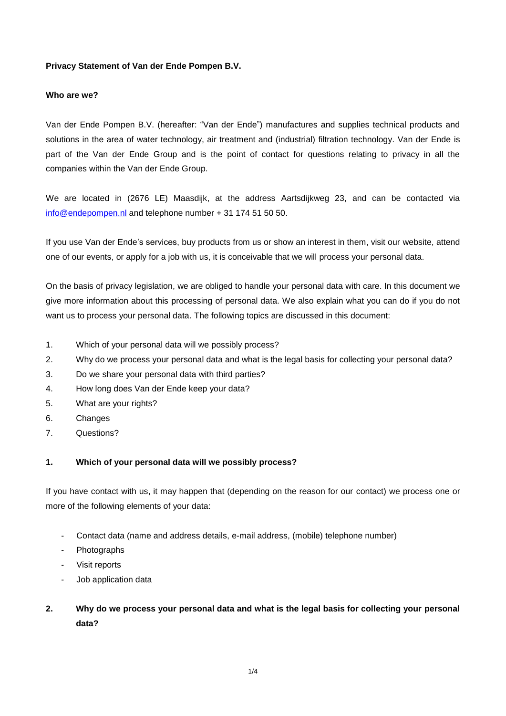# **Privacy Statement of Van der Ende Pompen B.V.**

## **Who are we?**

Van der Ende Pompen B.V. (hereafter: "Van der Ende") manufactures and supplies technical products and solutions in the area of water technology, air treatment and (industrial) filtration technology. Van der Ende is part of the Van der Ende Group and is the point of contact for questions relating to privacy in all the companies within the Van der Ende Group.

We are located in (2676 LE) Maasdijk, at the address Aartsdijkweg 23, and can be contacted via [info@endepompen.nl](mailto:info@endepompen.nl) and telephone number + 31 174 51 50 50.

If you use Van der Ende's services, buy products from us or show an interest in them, visit our website, attend one of our events, or apply for a job with us, it is conceivable that we will process your personal data.

On the basis of privacy legislation, we are obliged to handle your personal data with care. In this document we give more information about this processing of personal data. We also explain what you can do if you do not want us to process your personal data. The following topics are discussed in this document:

- 1. Which of your personal data will we possibly process?
- 2. Why do we process your personal data and what is the legal basis for collecting your personal data?
- 3. Do we share your personal data with third parties?
- 4. How long does Van der Ende keep your data?
- 5. What are your rights?
- 6. Changes
- 7. Questions?

# **1. Which of your personal data will we possibly process?**

If you have contact with us, it may happen that (depending on the reason for our contact) we process one or more of the following elements of your data:

- Contact data (name and address details, e-mail address, (mobile) telephone number)
- Photographs
- Visit reports
- Job application data

# **2. Why do we process your personal data and what is the legal basis for collecting your personal data?**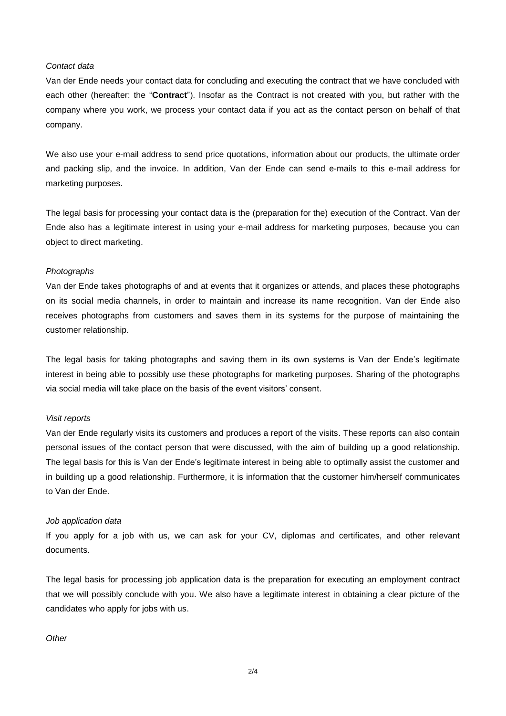#### *Contact data*

Van der Ende needs your contact data for concluding and executing the contract that we have concluded with each other (hereafter: the "**Contract**"). Insofar as the Contract is not created with you, but rather with the company where you work, we process your contact data if you act as the contact person on behalf of that company.

We also use your e-mail address to send price quotations, information about our products, the ultimate order and packing slip, and the invoice. In addition, Van der Ende can send e-mails to this e-mail address for marketing purposes.

The legal basis for processing your contact data is the (preparation for the) execution of the Contract. Van der Ende also has a legitimate interest in using your e-mail address for marketing purposes, because you can object to direct marketing.

### *Photographs*

Van der Ende takes photographs of and at events that it organizes or attends, and places these photographs on its social media channels, in order to maintain and increase its name recognition. Van der Ende also receives photographs from customers and saves them in its systems for the purpose of maintaining the customer relationship.

The legal basis for taking photographs and saving them in its own systems is Van der Ende's legitimate interest in being able to possibly use these photographs for marketing purposes. Sharing of the photographs via social media will take place on the basis of the event visitors' consent.

#### *Visit reports*

Van der Ende regularly visits its customers and produces a report of the visits. These reports can also contain personal issues of the contact person that were discussed, with the aim of building up a good relationship. The legal basis for this is Van der Ende's legitimate interest in being able to optimally assist the customer and in building up a good relationship. Furthermore, it is information that the customer him/herself communicates to Van der Ende.

### *Job application data*

If you apply for a job with us, we can ask for your CV, diplomas and certificates, and other relevant documents.

The legal basis for processing job application data is the preparation for executing an employment contract that we will possibly conclude with you. We also have a legitimate interest in obtaining a clear picture of the candidates who apply for jobs with us.

### *Other*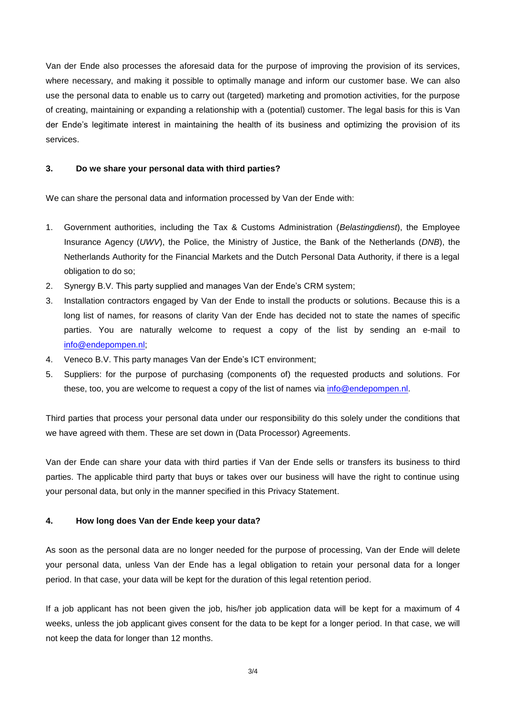Van der Ende also processes the aforesaid data for the purpose of improving the provision of its services, where necessary, and making it possible to optimally manage and inform our customer base. We can also use the personal data to enable us to carry out (targeted) marketing and promotion activities, for the purpose of creating, maintaining or expanding a relationship with a (potential) customer. The legal basis for this is Van der Ende's legitimate interest in maintaining the health of its business and optimizing the provision of its services.

# **3. Do we share your personal data with third parties?**

We can share the personal data and information processed by Van der Ende with:

- 1. Government authorities, including the Tax & Customs Administration (*Belastingdienst*), the Employee Insurance Agency (*UWV*), the Police, the Ministry of Justice, the Bank of the Netherlands (*DNB*), the Netherlands Authority for the Financial Markets and the Dutch Personal Data Authority, if there is a legal obligation to do so;
- 2. Synergy B.V. This party supplied and manages Van der Ende's CRM system;
- 3. Installation contractors engaged by Van der Ende to install the products or solutions. Because this is a long list of names, for reasons of clarity Van der Ende has decided not to state the names of specific parties. You are naturally welcome to request a copy of the list by sending an e-mail to [info@endepompen.nl;](mailto:info@endepompen.nl)
- 4. Veneco B.V. This party manages Van der Ende's ICT environment;
- 5. Suppliers: for the purpose of purchasing (components of) the requested products and solutions. For these, too, you are welcome to request a copy of the list of names via [info@endepompen.nl.](mailto:info@endepompen.nl)

Third parties that process your personal data under our responsibility do this solely under the conditions that we have agreed with them. These are set down in (Data Processor) Agreements.

Van der Ende can share your data with third parties if Van der Ende sells or transfers its business to third parties. The applicable third party that buys or takes over our business will have the right to continue using your personal data, but only in the manner specified in this Privacy Statement.

# **4. How long does Van der Ende keep your data?**

As soon as the personal data are no longer needed for the purpose of processing, Van der Ende will delete your personal data, unless Van der Ende has a legal obligation to retain your personal data for a longer period. In that case, your data will be kept for the duration of this legal retention period.

If a job applicant has not been given the job, his/her job application data will be kept for a maximum of 4 weeks, unless the job applicant gives consent for the data to be kept for a longer period. In that case, we will not keep the data for longer than 12 months.